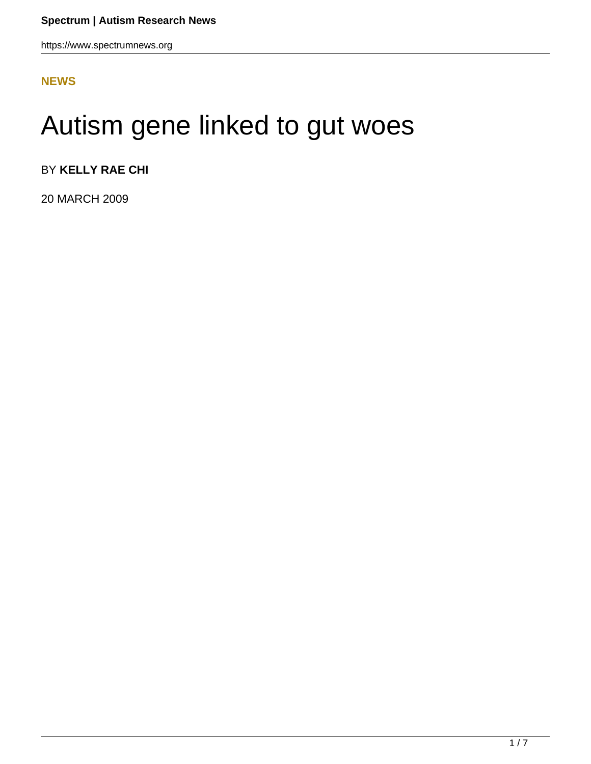https://www.spectrumnews.org

## **[NEWS](HTTPS://WWW.SPECTRUMNEWS.ORG/NEWS/)**

## Autism gene linked to gut woes

BY **KELLY RAE CHI**

20 MARCH 2009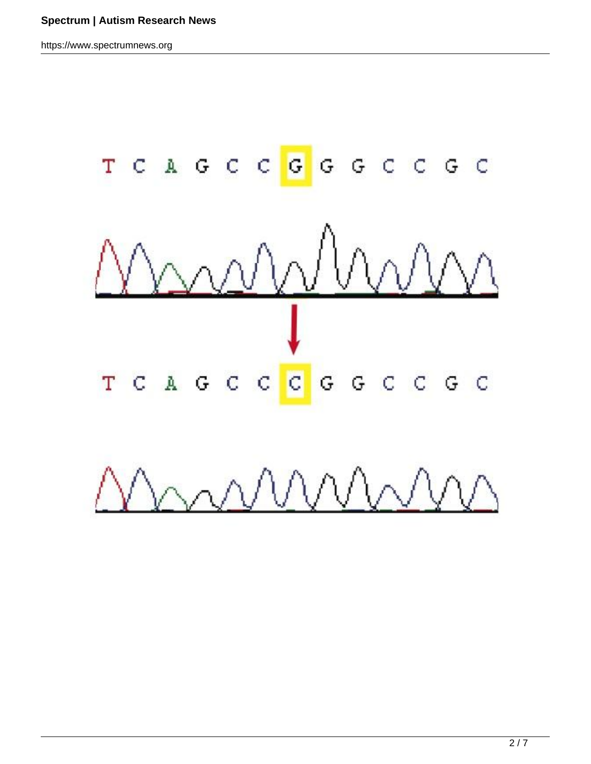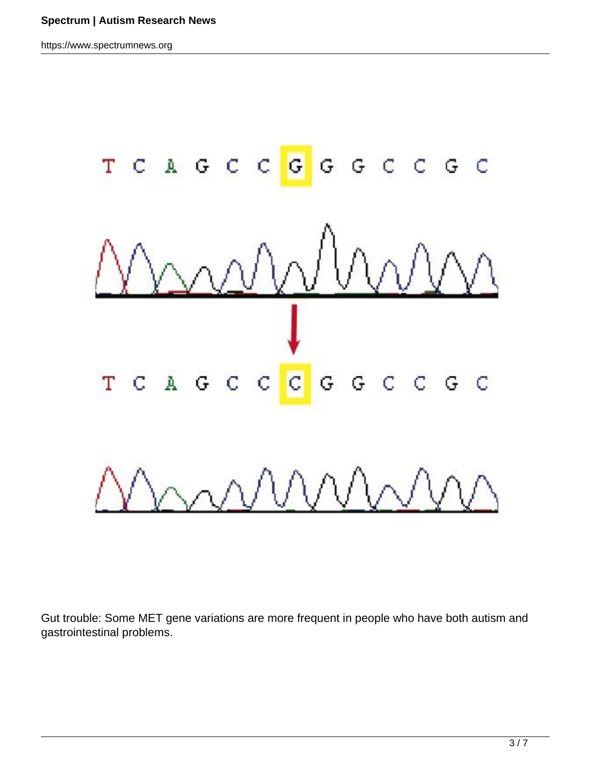

Gut trouble: Some MET gene variations are more frequent in people who have both autism and gastrointestinal problems.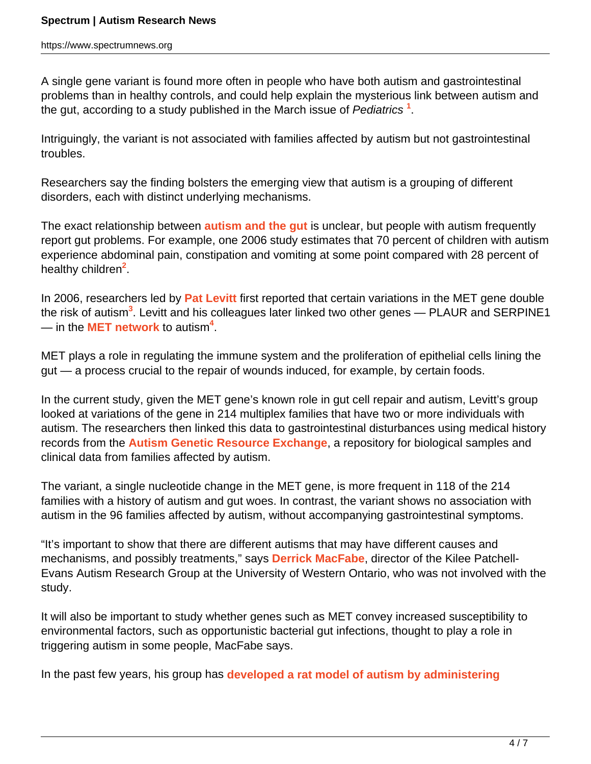A single gene variant is found more often in people who have both autism and gastrointestinal problems than in healthy controls, and could help explain the mysterious link between autism and the gut, according to a study published in the March issue of Pediatrics **<sup>1</sup>** .

Intriguingly, the variant is not associated with families affected by autism but not gastrointestinal troubles.

Researchers say the finding bolsters the emerging view that autism is a grouping of different disorders, each with distinct underlying mechanisms.

The exact relationship between **autism and the gut** is unclear, but people with autism frequently report gut problems. For example, one 2006 study estimates that 70 percent of children with autism experience abdominal pain, constipation and vomiting at some point compared with 28 percent of healthy children**<sup>2</sup>** .

In 2006, researchers led by **Pat Levitt** first reported that certain variations in the MET gene double the risk of autism**<sup>3</sup>** . Levitt and his colleagues later linked two other genes — PLAUR and SERPINE1 — in the **MET network** to autism**<sup>4</sup>** .

MET plays a role in regulating the immune system and the proliferation of epithelial cells lining the gut — a process crucial to the repair of wounds induced, for example, by certain foods.

In the current study, given the MET gene's known role in gut cell repair and autism, Levitt's group looked at variations of the gene in 214 multiplex families that have two or more individuals with autism. The researchers then linked this data to gastrointestinal disturbances using medical history records from the **Autism Genetic Resource Exchange**, a repository for biological samples and clinical data from families affected by autism.

The variant, a single nucleotide change in the MET gene, is more frequent in 118 of the 214 families with a history of autism and gut woes. In contrast, the variant shows no association with autism in the 96 families affected by autism, without accompanying gastrointestinal symptoms.

"It's important to show that there are different autisms that may have different causes and mechanisms, and possibly treatments," says **Derrick MacFabe**, director of the Kilee Patchell-Evans Autism Research Group at the University of Western Ontario, who was not involved with the study.

It will also be important to study whether genes such as MET convey increased susceptibility to environmental factors, such as opportunistic bacterial gut infections, thought to play a role in triggering autism in some people, MacFabe says.

In the past few years, his group has **developed a rat model of autism by administering**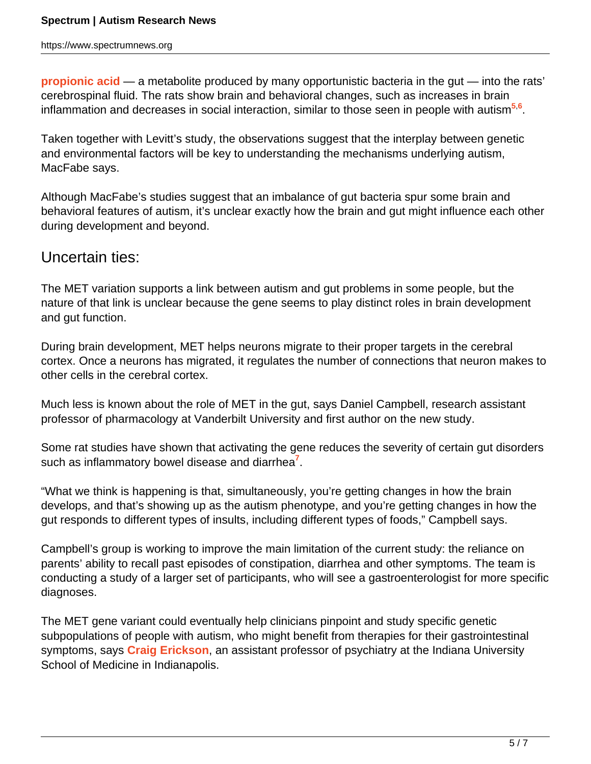**propionic acid** — a metabolite produced by many opportunistic bacteria in the gut — into the rats' cerebrospinal fluid. The rats show brain and behavioral changes, such as increases in brain inflammation and decreases in social interaction, similar to those seen in people with autism**<sup>5</sup>**,**<sup>6</sup>** .

Taken together with Levitt's study, the observations suggest that the interplay between genetic and environmental factors will be key to understanding the mechanisms underlying autism, MacFabe says.

Although MacFabe's studies suggest that an imbalance of gut bacteria spur some brain and behavioral features of autism, it's unclear exactly how the brain and gut might influence each other during development and beyond.

## Uncertain ties:

The MET variation supports a link between autism and gut problems in some people, but the nature of that link is unclear because the gene seems to play distinct roles in brain development and gut function.

During brain development, MET helps neurons migrate to their proper targets in the cerebral cortex. Once a neurons has migrated, it regulates the number of connections that neuron makes to other cells in the cerebral cortex.

Much less is known about the role of MET in the gut, says Daniel Campbell, research assistant professor of pharmacology at Vanderbilt University and first author on the new study.

Some rat studies have shown that activating the gene reduces the severity of certain gut disorders such as inflammatory bowel disease and diarrhea**<sup>7</sup>** .

"What we think is happening is that, simultaneously, you're getting changes in how the brain develops, and that's showing up as the autism phenotype, and you're getting changes in how the gut responds to different types of insults, including different types of foods," Campbell says.

Campbell's group is working to improve the main limitation of the current study: the reliance on parents' ability to recall past episodes of constipation, diarrhea and other symptoms. The team is conducting a study of a larger set of participants, who will see a gastroenterologist for more specific diagnoses.

The MET gene variant could eventually help clinicians pinpoint and study specific genetic subpopulations of people with autism, who might benefit from therapies for their gastrointestinal symptoms, says **Craig Erickson**, an assistant professor of psychiatry at the Indiana University School of Medicine in Indianapolis.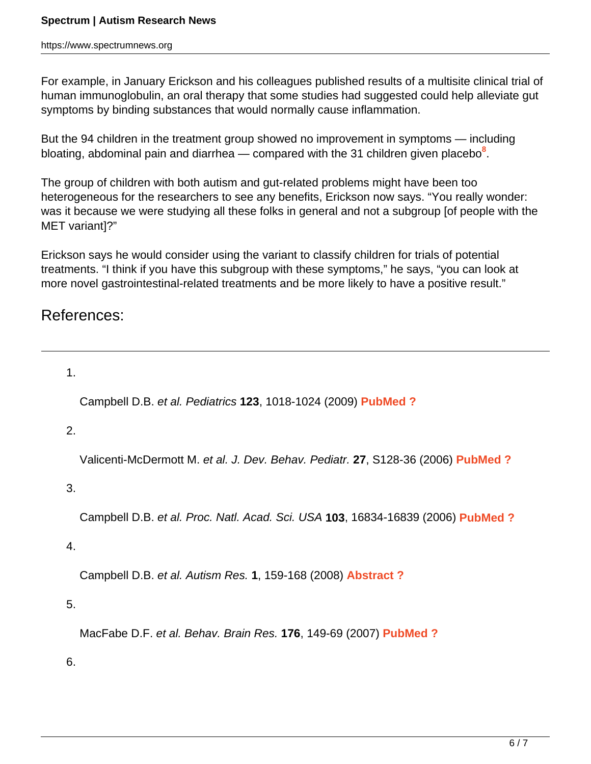For example, in January Erickson and his colleagues published results of a multisite clinical trial of human immunoglobulin, an oral therapy that some studies had suggested could help alleviate gut symptoms by binding substances that would normally cause inflammation.

But the 94 children in the treatment group showed no improvement in symptoms — including bloating, abdominal pain and diarrhea — compared with the 31 children given placebo**<sup>8</sup>** .

The group of children with both autism and gut-related problems might have been too heterogeneous for the researchers to see any benefits, Erickson now says. "You really wonder: was it because we were studying all these folks in general and not a subgroup [of people with the MET variant]?"

Erickson says he would consider using the variant to classify children for trials of potential treatments. "I think if you have this subgroup with these symptoms," he says, "you can look at more novel gastrointestinal-related treatments and be more likely to have a positive result."

## References:

1.

Campbell D.B. et al. Pediatrics **123**, 1018-1024 (2009) **PubMed ?**

2.

Valicenti-McDermott M. et al. J. Dev. Behav. Pediatr. **27**, S128-36 (2006) **PubMed ?**

3.

Campbell D.B. et al. Proc. Natl. Acad. Sci. USA **103**, 16834-16839 (2006) **PubMed ?**

4.

Campbell D.B. et al. Autism Res. **1**, 159-168 (2008) **Abstract ?**

5.

MacFabe D.F. et al. Behav. Brain Res. **176**, 149-69 (2007) **PubMed ?**

6.